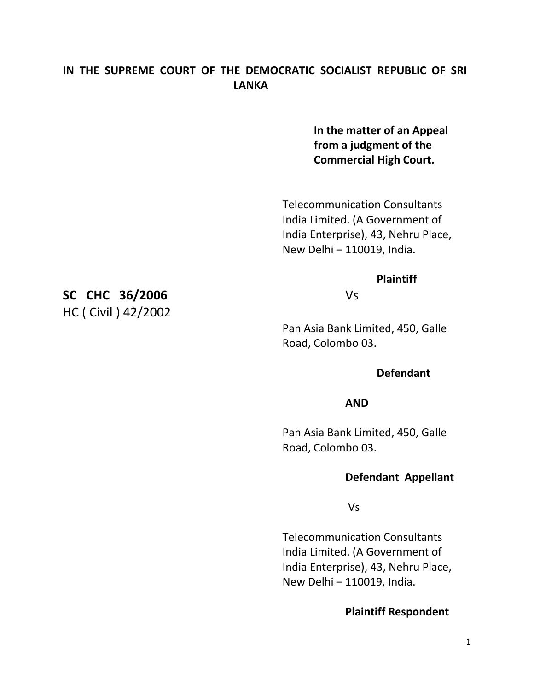## **IN THE SUPREME COURT OF THE DEMOCRATIC SOCIALIST REPUBLIC OF SRI LANKA**

**In the matter of an Appeal from a judgment of the Commercial High Court.**

Telecommunication Consultants India Limited. (A Government of India Enterprise), 43, Nehru Place, New Delhi – 110019, India.

#### **Plaintiff**

Pan Asia Bank Limited, 450, Galle Road, Colombo 03.

### **Defendant**

#### **AND**

Pan Asia Bank Limited, 450, Galle Road, Colombo 03.

#### **Defendant Appellant**

Vs

Telecommunication Consultants India Limited. (A Government of India Enterprise), 43, Nehru Place, New Delhi – 110019, India.

#### **Plaintiff Respondent**

**SC CHC 36/2006** Vs HC ( Civil ) 42/2002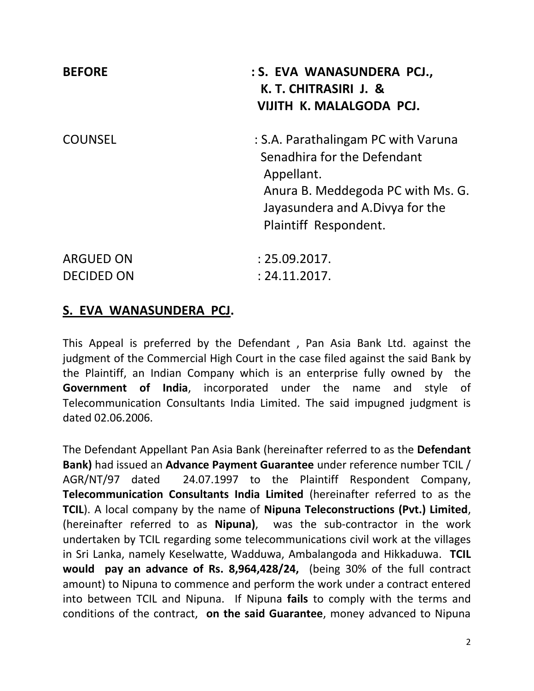| <b>BEFORE</b>                         | : S. EVA WANASUNDERA PCJ.,<br>K. T. CHITRASIRI J. &<br>VIJITH K. MALALGODA PCJ.                                                                                                   |
|---------------------------------------|-----------------------------------------------------------------------------------------------------------------------------------------------------------------------------------|
| <b>COUNSEL</b>                        | : S.A. Parathalingam PC with Varuna<br>Senadhira for the Defendant<br>Appellant.<br>Anura B. Meddegoda PC with Ms. G.<br>Jayasundera and A.Divya for the<br>Plaintiff Respondent. |
| <b>ARGUED ON</b><br><b>DECIDED ON</b> | : 25.09.2017.<br>: 24.11.2017.                                                                                                                                                    |

# **S. EVA WANASUNDERA PCJ.**

This Appeal is preferred by the Defendant , Pan Asia Bank Ltd. against the judgment of the Commercial High Court in the case filed against the said Bank by the Plaintiff, an Indian Company which is an enterprise fully owned by the **Government of India**, incorporated under the name and style of Telecommunication Consultants India Limited. The said impugned judgment is dated 02.06.2006.

The Defendant Appellant Pan Asia Bank (hereinafter referred to as the **Defendant Bank)** had issued an **Advance Payment Guarantee** under reference number TCIL / AGR/NT/97 dated 24.07.1997 to the Plaintiff Respondent Company, **Telecommunication Consultants India Limited** (hereinafter referred to as the **TCIL**). A local company by the name of **Nipuna Teleconstructions (Pvt.) Limited**, (hereinafter referred to as **Nipuna)**, was the sub-contractor in the work undertaken by TCIL regarding some telecommunications civil work at the villages in Sri Lanka, namely Keselwatte, Wadduwa, Ambalangoda and Hikkaduwa. **TCIL would pay an advance of Rs. 8,964,428/24,** (being 30% of the full contract amount) to Nipuna to commence and perform the work under a contract entered into between TCIL and Nipuna. If Nipuna **fails** to comply with the terms and conditions of the contract, **on the said Guarantee**, money advanced to Nipuna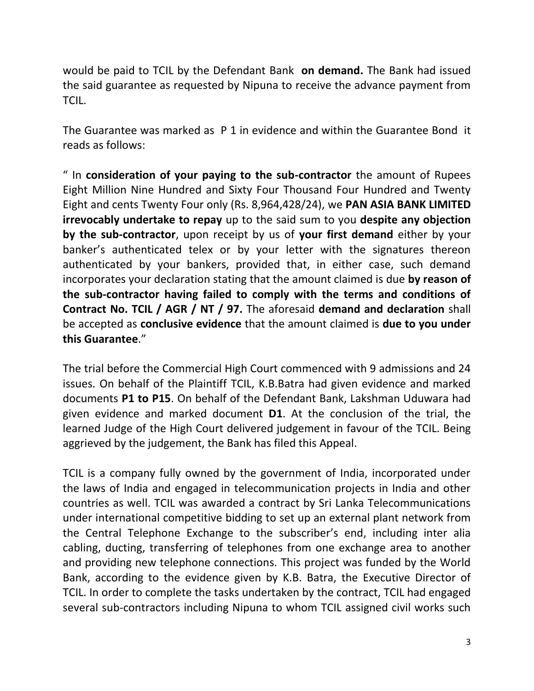would be paid to TCIL by the Defendant Bank **on demand.** The Bank had issued the said guarantee as requested by Nipuna to receive the advance payment from TCIL.

The Guarantee was marked as P 1 in evidence and within the Guarantee Bond it reads as follows:

" In **consideration of your paying to the sub-contractor** the amount of Rupees Eight Million Nine Hundred and Sixty Four Thousand Four Hundred and Twenty Eight and cents Twenty Four only (Rs. 8,964,428/24), we **PAN ASIA BANK LIMITED irrevocably undertake to repay** up to the said sum to you **despite any objection by the sub-contractor**, upon receipt by us of **your first demand** either by your banker's authenticated telex or by your letter with the signatures thereon authenticated by your bankers, provided that, in either case, such demand incorporates your declaration stating that the amount claimed is due **by reason of the sub-contractor having failed to comply with the terms and conditions of Contract No. TCIL / AGR / NT / 97.** The aforesaid **demand and declaration** shall be accepted as **conclusive evidence** that the amount claimed is **due to you under this Guarantee**."

The trial before the Commercial High Court commenced with 9 admissions and 24 issues. On behalf of the Plaintiff TCIL, K.B.Batra had given evidence and marked documents **P1 to P15**. On behalf of the Defendant Bank, Lakshman Uduwara had given evidence and marked document **D1**. At the conclusion of the trial, the learned Judge of the High Court delivered judgement in favour of the TCIL. Being aggrieved by the judgement, the Bank has filed this Appeal.

TCIL is a company fully owned by the government of India, incorporated under the laws of India and engaged in telecommunication projects in India and other countries as well. TCIL was awarded a contract by Sri Lanka Telecommunications under international competitive bidding to set up an external plant network from the Central Telephone Exchange to the subscriber's end, including inter alia cabling, ducting, transferring of telephones from one exchange area to another and providing new telephone connections. This project was funded by the World Bank, according to the evidence given by K.B. Batra, the Executive Director of TCIL. In order to complete the tasks undertaken by the contract, TCIL had engaged several sub-contractors including Nipuna to whom TCIL assigned civil works such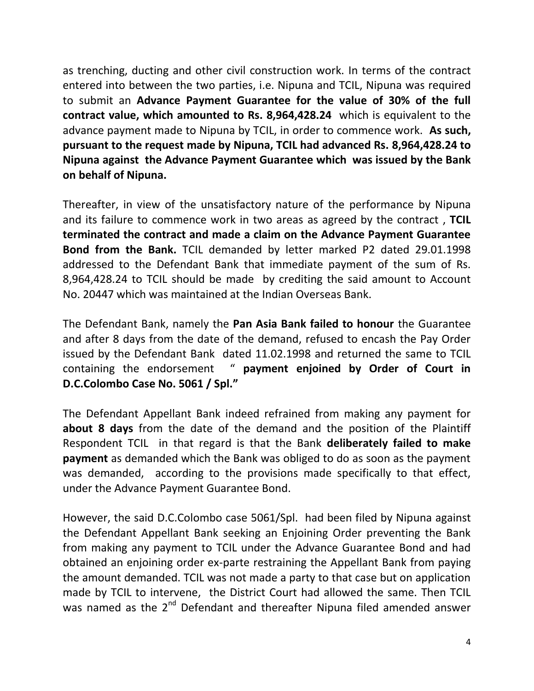as trenching, ducting and other civil construction work. In terms of the contract entered into between the two parties, i.e. Nipuna and TCIL, Nipuna was required to submit an **Advance Payment Guarantee for the value of 30% of the full contract value, which amounted to Rs. 8,964,428.24** which is equivalent to the advance payment made to Nipuna by TCIL, in order to commence work. **As such, pursuant to the request made by Nipuna, TCIL had advanced Rs. 8,964,428.24 to Nipuna against the Advance Payment Guarantee which was issued by the Bank on behalf of Nipuna.**

Thereafter, in view of the unsatisfactory nature of the performance by Nipuna and its failure to commence work in two areas as agreed by the contract , **TCIL terminated the contract and made a claim on the Advance Payment Guarantee Bond from the Bank.** TCIL demanded by letter marked P2 dated 29.01.1998 addressed to the Defendant Bank that immediate payment of the sum of Rs. 8,964,428.24 to TCIL should be made by crediting the said amount to Account No. 20447 which was maintained at the Indian Overseas Bank.

The Defendant Bank, namely the **Pan Asia Bank failed to honour** the Guarantee and after 8 days from the date of the demand, refused to encash the Pay Order issued by the Defendant Bank dated 11.02.1998 and returned the same to TCIL containing the endorsement " **payment enjoined by Order of Court in D.C.Colombo Case No. 5061 / Spl."**

The Defendant Appellant Bank indeed refrained from making any payment for **about 8 days** from the date of the demand and the position of the Plaintiff Respondent TCIL in that regard is that the Bank **deliberately failed to make payment** as demanded which the Bank was obliged to do as soon as the payment was demanded, according to the provisions made specifically to that effect, under the Advance Payment Guarantee Bond.

However, the said D.C.Colombo case 5061/Spl. had been filed by Nipuna against the Defendant Appellant Bank seeking an Enjoining Order preventing the Bank from making any payment to TCIL under the Advance Guarantee Bond and had obtained an enjoining order ex-parte restraining the Appellant Bank from paying the amount demanded. TCIL was not made a party to that case but on application made by TCIL to intervene, the District Court had allowed the same. Then TCIL was named as the  $2^{nd}$  Defendant and thereafter Nipuna filed amended answer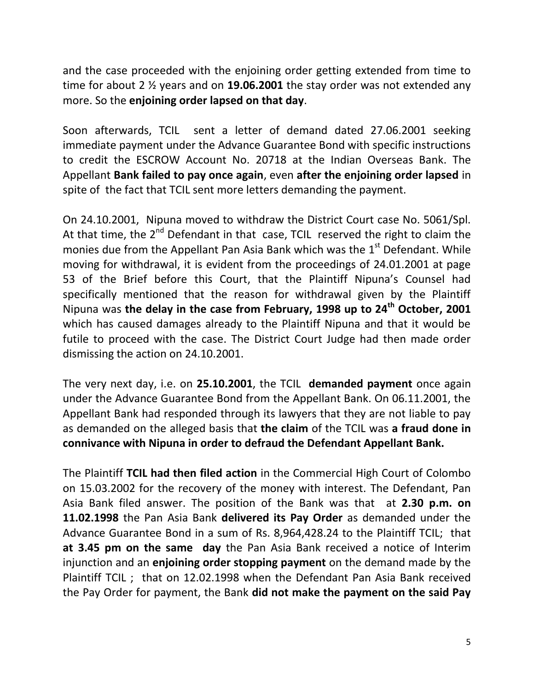and the case proceeded with the enjoining order getting extended from time to time for about 2 ½ years and on **19.06.2001** the stay order was not extended any more. So the **enjoining order lapsed on that day**.

Soon afterwards, TCIL sent a letter of demand dated 27.06.2001 seeking immediate payment under the Advance Guarantee Bond with specific instructions to credit the ESCROW Account No. 20718 at the Indian Overseas Bank. The Appellant **Bank failed to pay once again**, even **after the enjoining order lapsed** in spite of the fact that TCIL sent more letters demanding the payment.

On 24.10.2001, Nipuna moved to withdraw the District Court case No. 5061/Spl. At that time, the  $2^{nd}$  Defendant in that case, TCIL reserved the right to claim the monies due from the Appellant Pan Asia Bank which was the  $1<sup>st</sup>$  Defendant. While moving for withdrawal, it is evident from the proceedings of 24.01.2001 at page 53 of the Brief before this Court, that the Plaintiff Nipuna's Counsel had specifically mentioned that the reason for withdrawal given by the Plaintiff Nipuna was **the delay in the case from February, 1998 up to 24th October, 2001**  which has caused damages already to the Plaintiff Nipuna and that it would be futile to proceed with the case. The District Court Judge had then made order dismissing the action on 24.10.2001.

The very next day, i.e. on **25.10.2001**, the TCIL **demanded payment** once again under the Advance Guarantee Bond from the Appellant Bank. On 06.11.2001, the Appellant Bank had responded through its lawyers that they are not liable to pay as demanded on the alleged basis that **the claim** of the TCIL was **a fraud done in connivance with Nipuna in order to defraud the Defendant Appellant Bank.**

The Plaintiff **TCIL had then filed action** in the Commercial High Court of Colombo on 15.03.2002 for the recovery of the money with interest. The Defendant, Pan Asia Bank filed answer. The position of the Bank was that at **2.30 p.m. on 11.02.1998** the Pan Asia Bank **delivered its Pay Order** as demanded under the Advance Guarantee Bond in a sum of Rs. 8,964,428.24 to the Plaintiff TCIL; that **at 3.45 pm on the same day** the Pan Asia Bank received a notice of Interim injunction and an **enjoining order stopping payment** on the demand made by the Plaintiff TCIL ; that on 12.02.1998 when the Defendant Pan Asia Bank received the Pay Order for payment, the Bank **did not make the payment on the said Pay**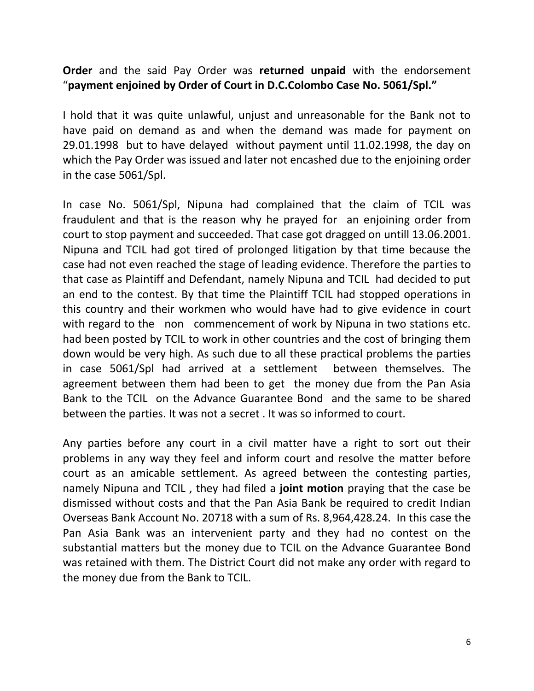## **Order** and the said Pay Order was **returned unpaid** with the endorsement "**payment enjoined by Order of Court in D.C.Colombo Case No. 5061/Spl."**

I hold that it was quite unlawful, unjust and unreasonable for the Bank not to have paid on demand as and when the demand was made for payment on 29.01.1998 but to have delayed without payment until 11.02.1998, the day on which the Pay Order was issued and later not encashed due to the enjoining order in the case 5061/Spl.

In case No. 5061/Spl, Nipuna had complained that the claim of TCIL was fraudulent and that is the reason why he prayed for an enjoining order from court to stop payment and succeeded. That case got dragged on untill 13.06.2001. Nipuna and TCIL had got tired of prolonged litigation by that time because the case had not even reached the stage of leading evidence. Therefore the parties to that case as Plaintiff and Defendant, namely Nipuna and TCIL had decided to put an end to the contest. By that time the Plaintiff TCIL had stopped operations in this country and their workmen who would have had to give evidence in court with regard to the non commencement of work by Nipuna in two stations etc. had been posted by TCIL to work in other countries and the cost of bringing them down would be very high. As such due to all these practical problems the parties in case 5061/Spl had arrived at a settlement between themselves. The agreement between them had been to get the money due from the Pan Asia Bank to the TCIL on the Advance Guarantee Bond and the same to be shared between the parties. It was not a secret . It was so informed to court.

Any parties before any court in a civil matter have a right to sort out their problems in any way they feel and inform court and resolve the matter before court as an amicable settlement. As agreed between the contesting parties, namely Nipuna and TCIL , they had filed a **joint motion** praying that the case be dismissed without costs and that the Pan Asia Bank be required to credit Indian Overseas Bank Account No. 20718 with a sum of Rs. 8,964,428.24. In this case the Pan Asia Bank was an intervenient party and they had no contest on the substantial matters but the money due to TCIL on the Advance Guarantee Bond was retained with them. The District Court did not make any order with regard to the money due from the Bank to TCIL.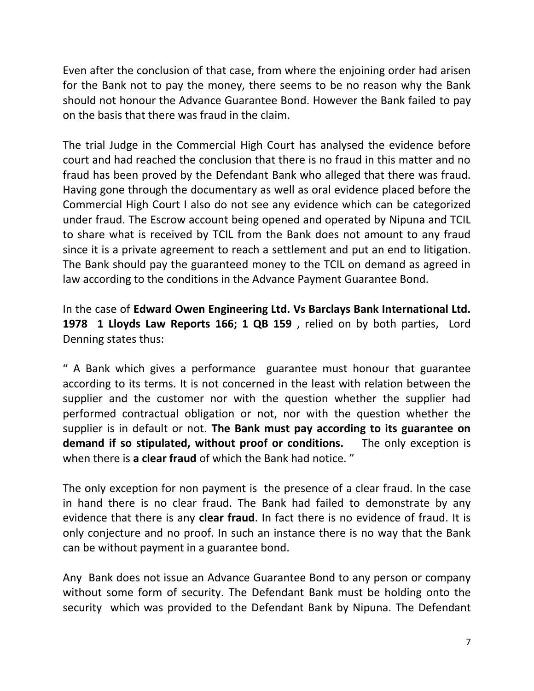Even after the conclusion of that case, from where the enjoining order had arisen for the Bank not to pay the money, there seems to be no reason why the Bank should not honour the Advance Guarantee Bond. However the Bank failed to pay on the basis that there was fraud in the claim.

The trial Judge in the Commercial High Court has analysed the evidence before court and had reached the conclusion that there is no fraud in this matter and no fraud has been proved by the Defendant Bank who alleged that there was fraud. Having gone through the documentary as well as oral evidence placed before the Commercial High Court I also do not see any evidence which can be categorized under fraud. The Escrow account being opened and operated by Nipuna and TCIL to share what is received by TCIL from the Bank does not amount to any fraud since it is a private agreement to reach a settlement and put an end to litigation. The Bank should pay the guaranteed money to the TCIL on demand as agreed in law according to the conditions in the Advance Payment Guarantee Bond.

In the case of **Edward Owen Engineering Ltd. Vs Barclays Bank International Ltd. 1978 1 Lloyds Law Reports 166; 1 QB 159** , relied on by both parties, Lord Denning states thus:

" A Bank which gives a performance guarantee must honour that guarantee according to its terms. It is not concerned in the least with relation between the supplier and the customer nor with the question whether the supplier had performed contractual obligation or not, nor with the question whether the supplier is in default or not. **The Bank must pay according to its guarantee on demand if so stipulated, without proof or conditions.** The only exception is when there is **a clear fraud** of which the Bank had notice. "

The only exception for non payment is the presence of a clear fraud. In the case in hand there is no clear fraud. The Bank had failed to demonstrate by any evidence that there is any **clear fraud**. In fact there is no evidence of fraud. It is only conjecture and no proof. In such an instance there is no way that the Bank can be without payment in a guarantee bond.

Any Bank does not issue an Advance Guarantee Bond to any person or company without some form of security. The Defendant Bank must be holding onto the security which was provided to the Defendant Bank by Nipuna. The Defendant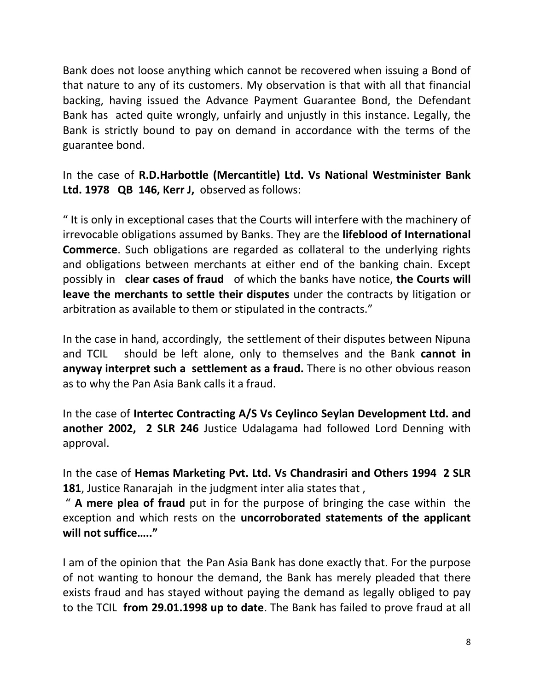Bank does not loose anything which cannot be recovered when issuing a Bond of that nature to any of its customers. My observation is that with all that financial backing, having issued the Advance Payment Guarantee Bond, the Defendant Bank has acted quite wrongly, unfairly and unjustly in this instance. Legally, the Bank is strictly bound to pay on demand in accordance with the terms of the guarantee bond.

In the case of **R.D.Harbottle (Mercantitle) Ltd. Vs National Westminister Bank Ltd. 1978 QB 146, Kerr J,** observed as follows:

" It is only in exceptional cases that the Courts will interfere with the machinery of irrevocable obligations assumed by Banks. They are the **lifeblood of International Commerce**. Such obligations are regarded as collateral to the underlying rights and obligations between merchants at either end of the banking chain. Except possibly in **clear cases of fraud** of which the banks have notice, **the Courts will leave the merchants to settle their disputes** under the contracts by litigation or arbitration as available to them or stipulated in the contracts."

In the case in hand, accordingly, the settlement of their disputes between Nipuna and TCIL should be left alone, only to themselves and the Bank **cannot in anyway interpret such a settlement as a fraud.** There is no other obvious reason as to why the Pan Asia Bank calls it a fraud.

In the case of **Intertec Contracting A/S Vs Ceylinco Seylan Development Ltd. and another 2002, 2 SLR 246** Justice Udalagama had followed Lord Denning with approval.

In the case of **Hemas Marketing Pvt. Ltd. Vs Chandrasiri and Others 1994 2 SLR 181**, Justice Ranarajah in the judgment inter alia states that ,

" **A mere plea of fraud** put in for the purpose of bringing the case within the exception and which rests on the **uncorroborated statements of the applicant will not suffice….."** 

I am of the opinion that the Pan Asia Bank has done exactly that. For the purpose of not wanting to honour the demand, the Bank has merely pleaded that there exists fraud and has stayed without paying the demand as legally obliged to pay to the TCIL **from 29.01.1998 up to date**. The Bank has failed to prove fraud at all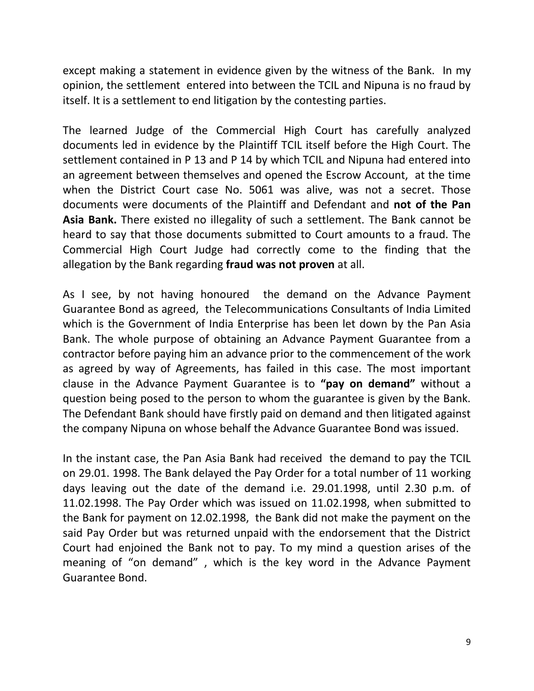except making a statement in evidence given by the witness of the Bank. In my opinion, the settlement entered into between the TCIL and Nipuna is no fraud by itself. It is a settlement to end litigation by the contesting parties.

The learned Judge of the Commercial High Court has carefully analyzed documents led in evidence by the Plaintiff TCIL itself before the High Court. The settlement contained in P 13 and P 14 by which TCIL and Nipuna had entered into an agreement between themselves and opened the Escrow Account, at the time when the District Court case No. 5061 was alive, was not a secret. Those documents were documents of the Plaintiff and Defendant and **not of the Pan Asia Bank.** There existed no illegality of such a settlement. The Bank cannot be heard to say that those documents submitted to Court amounts to a fraud. The Commercial High Court Judge had correctly come to the finding that the allegation by the Bank regarding **fraud was not proven** at all.

As I see, by not having honoured the demand on the Advance Payment Guarantee Bond as agreed, the Telecommunications Consultants of India Limited which is the Government of India Enterprise has been let down by the Pan Asia Bank. The whole purpose of obtaining an Advance Payment Guarantee from a contractor before paying him an advance prior to the commencement of the work as agreed by way of Agreements, has failed in this case. The most important clause in the Advance Payment Guarantee is to **"pay on demand"** without a question being posed to the person to whom the guarantee is given by the Bank. The Defendant Bank should have firstly paid on demand and then litigated against the company Nipuna on whose behalf the Advance Guarantee Bond was issued.

In the instant case, the Pan Asia Bank had received the demand to pay the TCIL on 29.01. 1998. The Bank delayed the Pay Order for a total number of 11 working days leaving out the date of the demand i.e. 29.01.1998, until 2.30 p.m. of 11.02.1998. The Pay Order which was issued on 11.02.1998, when submitted to the Bank for payment on 12.02.1998, the Bank did not make the payment on the said Pay Order but was returned unpaid with the endorsement that the District Court had enjoined the Bank not to pay. To my mind a question arises of the meaning of "on demand" , which is the key word in the Advance Payment Guarantee Bond.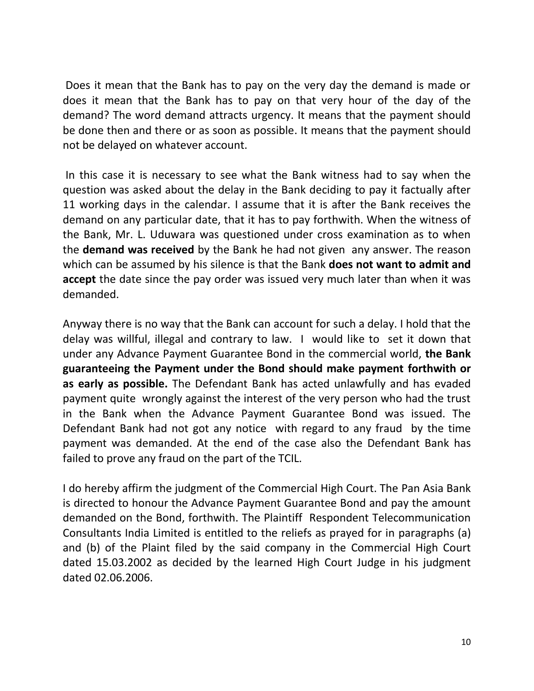Does it mean that the Bank has to pay on the very day the demand is made or does it mean that the Bank has to pay on that very hour of the day of the demand? The word demand attracts urgency. It means that the payment should be done then and there or as soon as possible. It means that the payment should not be delayed on whatever account.

In this case it is necessary to see what the Bank witness had to say when the question was asked about the delay in the Bank deciding to pay it factually after 11 working days in the calendar. I assume that it is after the Bank receives the demand on any particular date, that it has to pay forthwith. When the witness of the Bank, Mr. L. Uduwara was questioned under cross examination as to when the **demand was received** by the Bank he had not given any answer. The reason which can be assumed by his silence is that the Bank **does not want to admit and accept** the date since the pay order was issued very much later than when it was demanded.

Anyway there is no way that the Bank can account for such a delay. I hold that the delay was willful, illegal and contrary to law. I would like to set it down that under any Advance Payment Guarantee Bond in the commercial world, **the Bank guaranteeing the Payment under the Bond should make payment forthwith or as early as possible.** The Defendant Bank has acted unlawfully and has evaded payment quite wrongly against the interest of the very person who had the trust in the Bank when the Advance Payment Guarantee Bond was issued. The Defendant Bank had not got any notice with regard to any fraud by the time payment was demanded. At the end of the case also the Defendant Bank has failed to prove any fraud on the part of the TCIL.

I do hereby affirm the judgment of the Commercial High Court. The Pan Asia Bank is directed to honour the Advance Payment Guarantee Bond and pay the amount demanded on the Bond, forthwith. The Plaintiff Respondent Telecommunication Consultants India Limited is entitled to the reliefs as prayed for in paragraphs (a) and (b) of the Plaint filed by the said company in the Commercial High Court dated 15.03.2002 as decided by the learned High Court Judge in his judgment dated 02.06.2006.